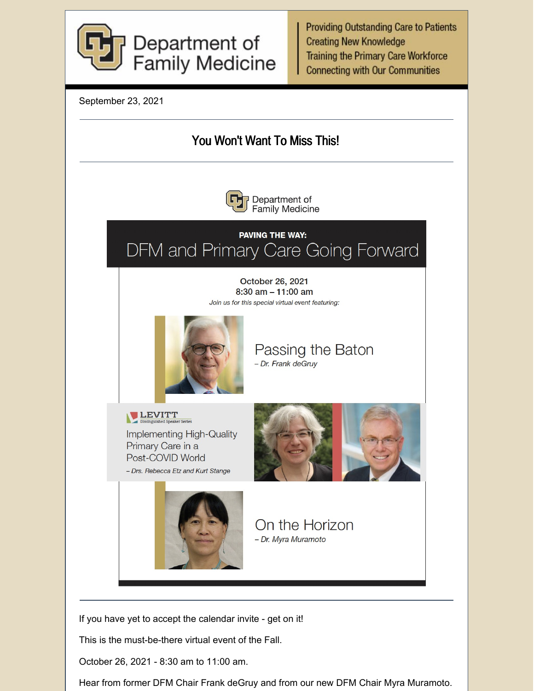

**Providing Outstanding Care to Patients Creating New Knowledge Training the Primary Care Workforce Connecting with Our Communities** 

September 23, 2021



This is the must-be-there virtual event of the Fall.

October 26, 2021 - 8:30 am to 11:00 am.

Hear from former DFM Chair Frank deGruy and from our new DFM Chair Myra Muramoto.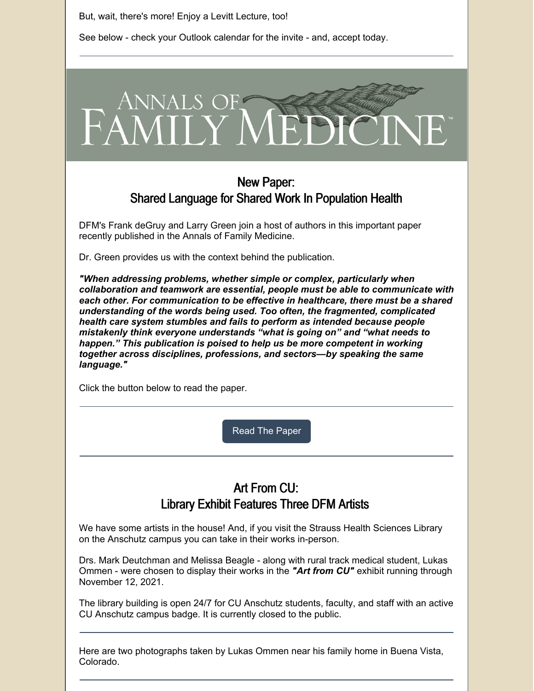But, wait, there's more! Enjoy a Levitt Lecture, too!

See below - check your Outlook calendar for the invite - and, accept today.



## New Paper: Shared Language for Shared Work In Population Health

DFM's Frank deGruy and Larry Green join a host of authors in this important paper recently published in the Annals of Family Medicine.

Dr. Green provides us with the context behind the publication.

*"When addressing problems, whether simple or complex, particularly when collaboration and teamwork are essential, people must be able to communicate with each other. For communication to be effective in healthcare, there must be a shared understanding of the words being used. Too often, the fragmented, complicated health care system stumbles and fails to perform as intended because people mistakenly think everyone understands "what is going on" and "what needs to happen." This publication is poised to help us be more competent in working together across disciplines, professions, and sectors—by speaking the same language."*

Click the button below to read the paper.

Read The [Paper](https://www.annfammed.org/content/19/5/450)

## Art From CU: Library Exhibit Features Three DFM Artists

We have some artists in the house! And, if you visit the Strauss Health Sciences Library on the Anschutz campus you can take in their works in-person.

Drs. Mark Deutchman and Melissa Beagle - along with rural track medical student, Lukas Ommen - were chosen to display their works in the *"Art from CU"* exhibit running through November 12, 2021.

The library building is open 24/7 for CU Anschutz students, faculty, and staff with an active CU Anschutz campus badge. It is currently closed to the public.

Here are two photographs taken by Lukas Ommen near his family home in Buena Vista, Colorado.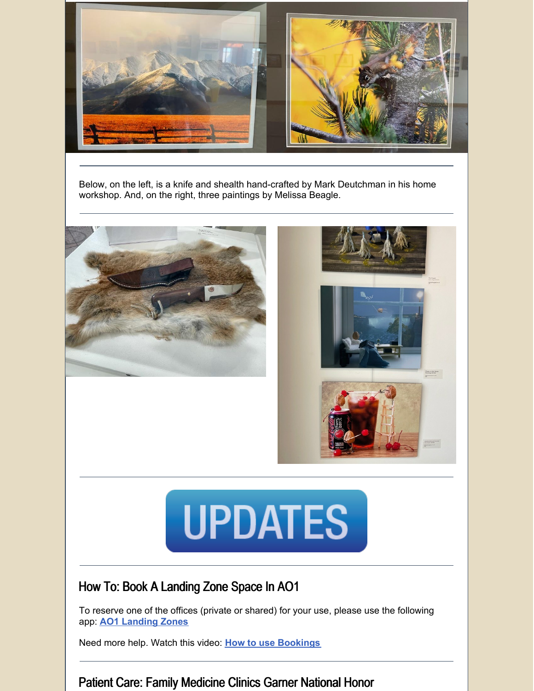

Below, on the left, is a knife and shealth hand-crafted by Mark Deutchman in his home workshop. And, on the right, three paintings by Melissa Beagle.



# **UPDATES**

# How To: Book A Landing Zone Space In AO1

To reserve one of the offices (private or shared) for your use, please use the following app: **AO1 [Landing](https://outlook.office365.com/owa/calendar/DFMAO13rdFloor@olucdenver.onmicrosoft.com/bookings/) Zones**

Need more help. Watch this video: **How to use [Bookings](https://www.youtube.com/watch?v=Hk86mVqYwFg&list=PLbb0hQWGjAJ2EzredSXUnP64K8vwr2iCG&index=14&t=1s)**

## Patient Care: Family Medicine Clinics Garner National Honor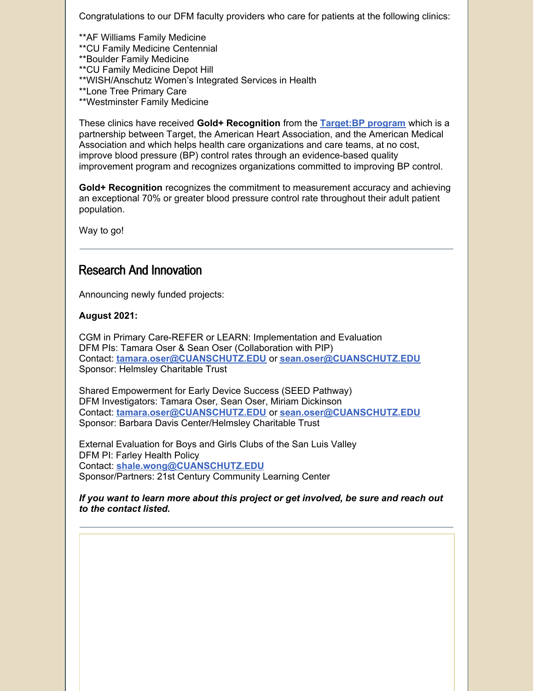Congratulations to our DFM faculty providers who care for patients at the following clinics:

\*\*AF Williams Family Medicine \*\*CU Family Medicine Centennial \*\*Boulder Family Medicine \*\*CU Family Medicine Depot Hill \*\*WISH/Anschutz Women's Integrated Services in Health \*\*Lone Tree Primary Care \*\*Westminster Family Medicine

These clinics have received **Gold+ Recognition** from the **[Target:BP](https://targetbp.org/) program** which is a partnership between Target, the American Heart Association, and the American Medical Association and which helps health care organizations and care teams, at no cost, improve blood pressure (BP) control rates through an evidence-based quality improvement program and recognizes organizations committed to improving BP control.

**Gold+ Recognition** recognizes the commitment to measurement accuracy and achieving an exceptional 70% or greater blood pressure control rate throughout their adult patient population.

Way to go!

## Research And Innovation

Announcing newly funded projects:

#### **August 2021:**

CGM in Primary Care-REFER or LEARN: Implementation and Evaluation DFM PIs: Tamara Oser & Sean Oser (Collaboration with PIP) Contact: **[tamara.oser@CUANSCHUTZ.EDU](mailto:tamara.oser@CUANSCHUTZ.EDU)** or **[sean.oser@CUANSCHUTZ.EDU](mailto:sean.oser@CUANSCHUTZ.EDU)** Sponsor: Helmsley Charitable Trust

Shared Empowerment for Early Device Success (SEED Pathway) DFM Investigators: Tamara Oser, Sean Oser, Miriam Dickinson Contact: **[tamara.oser@CUANSCHUTZ.EDU](mailto:tamara.oser@CUANSCHUTZ.EDU)** or **[sean.oser@CUANSCHUTZ.EDU](mailto:sean.oser@CUANSCHUTZ.EDU)** Sponsor: Barbara Davis Center/Helmsley Charitable Trust

External Evaluation for Boys and Girls Clubs of the San Luis Valley DFM PI: Farley Health Policy Contact: **[shale.wong@CUANSCHUTZ.EDU](mailto:shale.wong@CUANSCHUTZ.EDU)** Sponsor/Partners: 21st Century Community Learning Center

*If you want to learn more about this project or get involved, be sure and reach out to the contact listed.*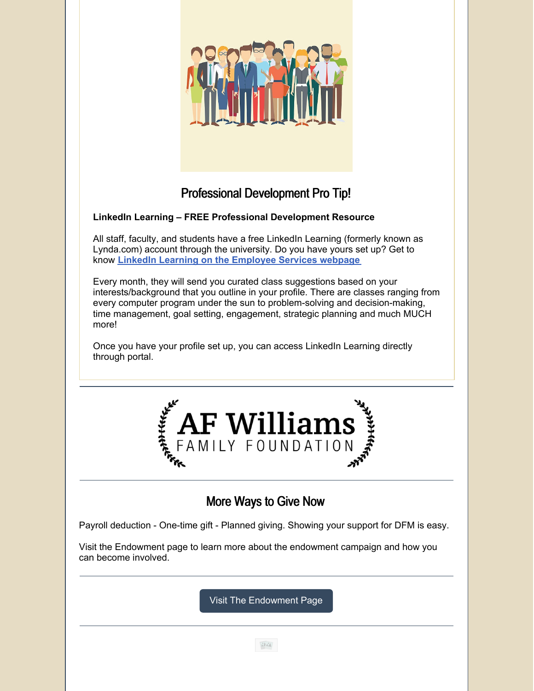

# Professional Development Pro Tip!

### **LinkedIn Learning – FREE Professional Development Resource**

All staff, faculty, and students have a free LinkedIn Learning (formerly known as Lynda.com) account through the university. Do you have yours set up? Get to know **LinkedIn Learning on the [Employee](https://click.communications.cu.edu/?qs=7176dfb97bb4098167693400e176aca2324b5748a91ae9d1e7898fcb55fb71602ee0d036f2bd81c8c2e9c22ad7ca849cfd7c4fce2de173dc) Services webpage**

Every month, they will send you curated class suggestions based on your interests/background that you outline in your profile. There are classes ranging from every computer program under the sun to problem-solving and decision-making, time management, goal setting, engagement, strategic planning and much MUCH more!

Once you have your profile set up, you can access LinkedIn Learning directly through portal.



## More Ways to Give Now

Payroll deduction - One-time gift - Planned giving. Showing your support for DFM is easy.

Visit the Endowment page to learn more about the endowment campaign and how you can become involved.

Visit The [Endowment](https://medschool.cuanschutz.edu/family-medicine/about/department-endowment-campaign) Page